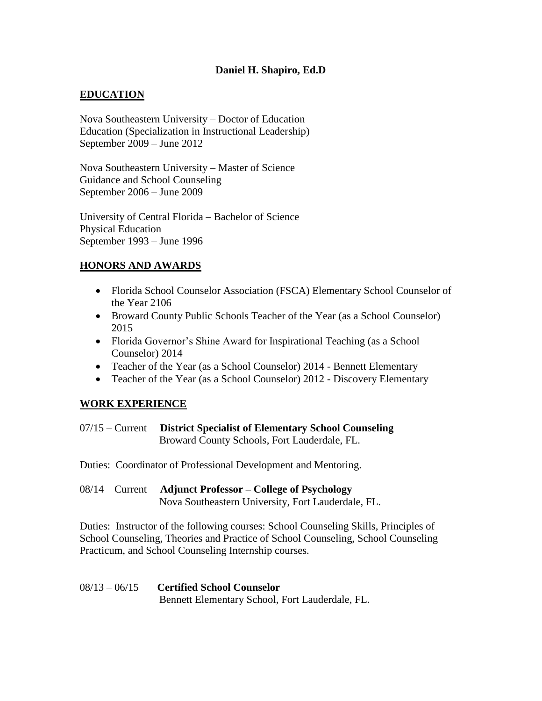## **Daniel H. Shapiro, Ed.D**

# **EDUCATION**

Nova Southeastern University – Doctor of Education Education (Specialization in Instructional Leadership) September 2009 – June 2012

Nova Southeastern University – Master of Science Guidance and School Counseling September 2006 – June 2009

University of Central Florida – Bachelor of Science Physical Education September 1993 – June 1996

# **HONORS AND AWARDS**

- Florida School Counselor Association (FSCA) Elementary School Counselor of the Year 2106
- Broward County Public Schools Teacher of the Year (as a School Counselor) 2015
- Florida Governor's Shine Award for Inspirational Teaching (as a School Counselor) 2014
- Teacher of the Year (as a School Counselor) 2014 Bennett Elementary
- Teacher of the Year (as a School Counselor) 2012 Discovery Elementary

## **WORK EXPERIENCE**

- 07/15 Current **District Specialist of Elementary School Counseling** Broward County Schools, Fort Lauderdale, FL.
- Duties: Coordinator of Professional Development and Mentoring.
- 08/14 Current **Adjunct Professor – College of Psychology**  Nova Southeastern University, Fort Lauderdale, FL.

Duties: Instructor of the following courses: School Counseling Skills, Principles of School Counseling, Theories and Practice of School Counseling, School Counseling Practicum, and School Counseling Internship courses.

#### 08/13 – 06/15 **Certified School Counselor** Bennett Elementary School, Fort Lauderdale, FL.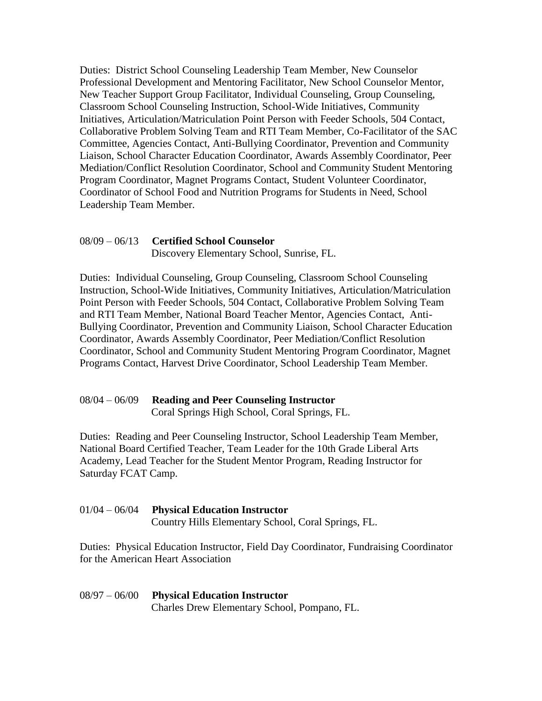Duties: District School Counseling Leadership Team Member, New Counselor Professional Development and Mentoring Facilitator, New School Counselor Mentor, New Teacher Support Group Facilitator, Individual Counseling, Group Counseling, Classroom School Counseling Instruction, School-Wide Initiatives, Community Initiatives, Articulation/Matriculation Point Person with Feeder Schools, 504 Contact, Collaborative Problem Solving Team and RTI Team Member, Co-Facilitator of the SAC Committee, Agencies Contact, Anti-Bullying Coordinator, Prevention and Community Liaison, School Character Education Coordinator, Awards Assembly Coordinator, Peer Mediation/Conflict Resolution Coordinator, School and Community Student Mentoring Program Coordinator, Magnet Programs Contact, Student Volunteer Coordinator, Coordinator of School Food and Nutrition Programs for Students in Need, School Leadership Team Member.

# 08/09 – 06/13 **Certified School Counselor**

Discovery Elementary School, Sunrise, FL.

Duties: Individual Counseling, Group Counseling, Classroom School Counseling Instruction, School-Wide Initiatives, Community Initiatives, Articulation/Matriculation Point Person with Feeder Schools, 504 Contact, Collaborative Problem Solving Team and RTI Team Member, National Board Teacher Mentor, Agencies Contact, Anti-Bullying Coordinator, Prevention and Community Liaison, School Character Education Coordinator, Awards Assembly Coordinator, Peer Mediation/Conflict Resolution Coordinator, School and Community Student Mentoring Program Coordinator, Magnet Programs Contact, Harvest Drive Coordinator, School Leadership Team Member.

## 08/04 – 06/09 **Reading and Peer Counseling Instructor**

Coral Springs High School, Coral Springs, FL.

Duties: Reading and Peer Counseling Instructor, School Leadership Team Member, National Board Certified Teacher, Team Leader for the 10th Grade Liberal Arts Academy, Lead Teacher for the Student Mentor Program, Reading Instructor for Saturday FCAT Camp.

#### 01/04 – 06/04 **Physical Education Instructor**

Country Hills Elementary School, Coral Springs, FL.

Duties: Physical Education Instructor, Field Day Coordinator, Fundraising Coordinator for the American Heart Association

#### 08/97 – 06/00 **Physical Education Instructor** Charles Drew Elementary School, Pompano, FL.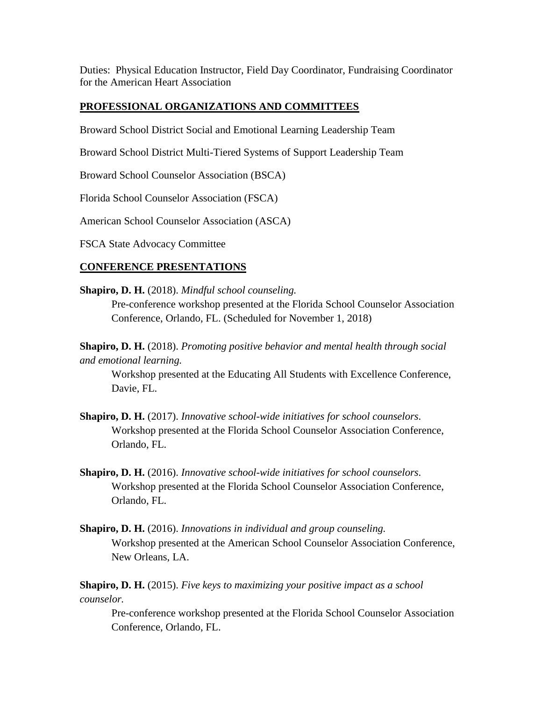Duties: Physical Education Instructor, Field Day Coordinator, Fundraising Coordinator for the American Heart Association

## **PROFESSIONAL ORGANIZATIONS AND COMMITTEES**

Broward School District Social and Emotional Learning Leadership Team

Broward School District Multi-Tiered Systems of Support Leadership Team

Broward School Counselor Association (BSCA)

Florida School Counselor Association (FSCA)

American School Counselor Association (ASCA)

FSCA State Advocacy Committee

## **CONFERENCE PRESENTATIONS**

**Shapiro, D. H.** (2018). *Mindful school counseling.*

Pre-conference workshop presented at the Florida School Counselor Association Conference, Orlando, FL. (Scheduled for November 1, 2018)

**Shapiro, D. H.** (2018). *Promoting positive behavior and mental health through social and emotional learning.*

Workshop presented at the Educating All Students with Excellence Conference, Davie, FL.

- **Shapiro, D. H.** (2017). *Innovative school-wide initiatives for school counselors.* Workshop presented at the Florida School Counselor Association Conference, Orlando, FL.
- **Shapiro, D. H.** (2016). *Innovative school-wide initiatives for school counselors.* Workshop presented at the Florida School Counselor Association Conference, Orlando, FL.
- **Shapiro, D. H.** (2016). *Innovations in individual and group counseling.* Workshop presented at the American School Counselor Association Conference, New Orleans, LA.

**Shapiro, D. H.** (2015). *Five keys to maximizing your positive impact as a school counselor.*

Pre-conference workshop presented at the Florida School Counselor Association Conference, Orlando, FL.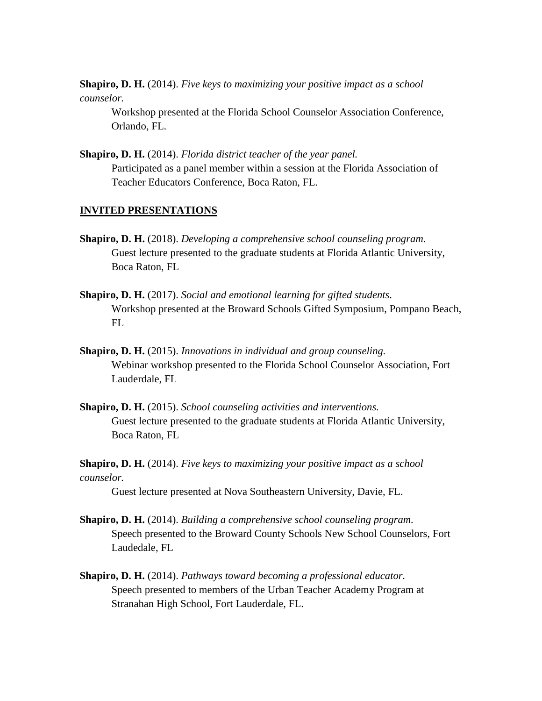**Shapiro, D. H.** (2014). *Five keys to maximizing your positive impact as a school counselor.*

Workshop presented at the Florida School Counselor Association Conference, Orlando, FL.

**Shapiro, D. H.** (2014). *Florida district teacher of the year panel.* Participated as a panel member within a session at the Florida Association of Teacher Educators Conference, Boca Raton, FL.

#### **INVITED PRESENTATIONS**

- **Shapiro, D. H.** (2018). *Developing a comprehensive school counseling program.* Guest lecture presented to the graduate students at Florida Atlantic University, Boca Raton, FL
- **Shapiro, D. H.** (2017). *Social and emotional learning for gifted students.* Workshop presented at the Broward Schools Gifted Symposium, Pompano Beach, FL
- **Shapiro, D. H.** (2015). *Innovations in individual and group counseling.* Webinar workshop presented to the Florida School Counselor Association, Fort Lauderdale, FL
- **Shapiro, D. H.** (2015). *School counseling activities and interventions.* Guest lecture presented to the graduate students at Florida Atlantic University, Boca Raton, FL

**Shapiro, D. H.** (2014). *Five keys to maximizing your positive impact as a school counselor.*

Guest lecture presented at Nova Southeastern University, Davie, FL.

- **Shapiro, D. H.** (2014). *Building a comprehensive school counseling program.* Speech presented to the Broward County Schools New School Counselors, Fort Laudedale, FL
- **Shapiro, D. H.** (2014). *Pathways toward becoming a professional educator.* Speech presented to members of the Urban Teacher Academy Program at Stranahan High School, Fort Lauderdale, FL.